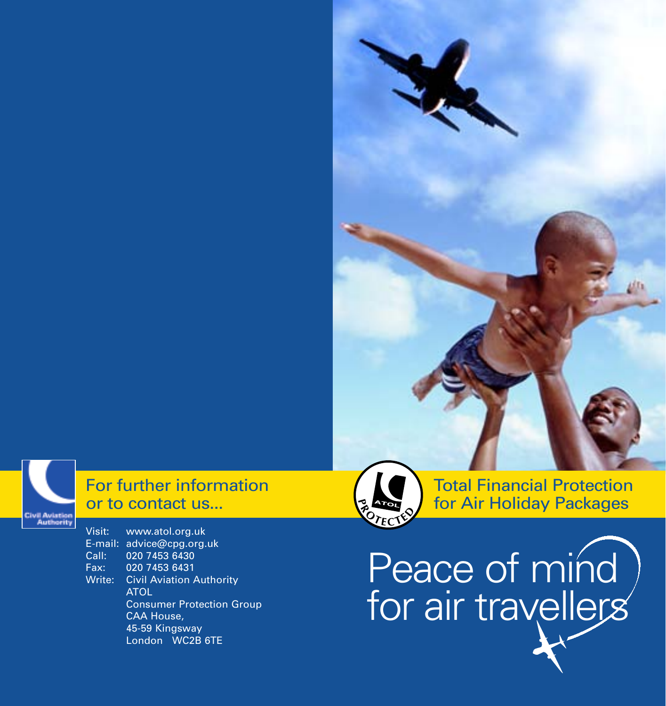

# For further information or to contact us...

Visit: www.atol.org.uk E-mail: advice@cpg.org.uk<br>Call: 020 7453 6430 020 7453 6430 Fax: 020 7453 6431 Write: Civil Aviation Authority ATOL Consumer Protection Group CAA House, 45-59 Kingsway London WC2B 6TE



Total Financial Protection for Air Holiday Packages

Peace of mind for air travellers